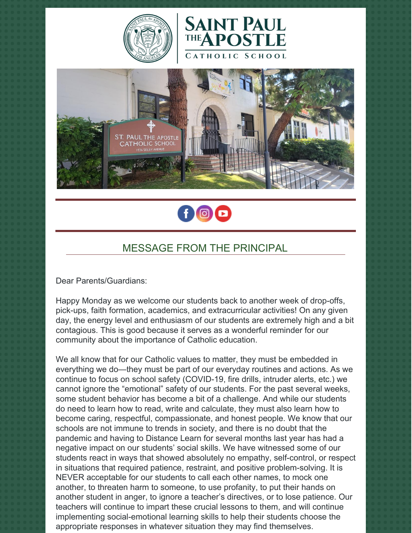







# MESSAGE FROM THE PRINCIPAL

Dear Parents/Guardians:

Happy Monday as we welcome our students back to another week of drop-offs, pick-ups, faith formation, academics, and extracurricular activities! On any given day, the energy level and enthusiasm of our students are extremely high and a bit contagious. This is good because it serves as a wonderful reminder for our community about the importance of Catholic education.

We all know that for our Catholic values to matter, they must be embedded in everything we do—they must be part of our everyday routines and actions. As we continue to focus on school safety (COVID-19, fire drills, intruder alerts, etc.) we cannot ignore the "emotional" safety of our students. For the past several weeks, some student behavior has become a bit of a challenge. And while our students do need to learn how to read, write and calculate, they must also learn how to become caring, respectful, compassionate, and honest people. We know that our schools are not immune to trends in society, and there is no doubt that the pandemic and having to Distance Learn for several months last year has had a negative impact on our students' social skills. We have witnessed some of our students react in ways that showed absolutely no empathy, self-control, or respect in situations that required patience, restraint, and positive problem-solving. It is NEVER acceptable for our students to call each other names, to mock one another, to threaten harm to someone, to use profanity, to put their hands on another student in anger, to ignore a teacher's directives, or to lose patience. Our teachers will continue to impart these crucial lessons to them, and will continue implementing social-emotional learning skills to help their students choose the appropriate responses in whatever situation they may find themselves.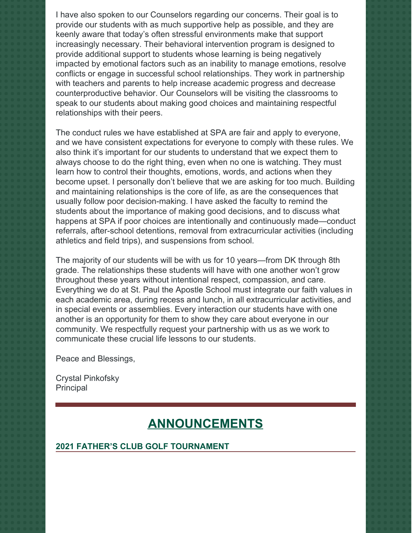I have also spoken to our Counselors regarding our concerns. Their goal is to provide our students with as much supportive help as possible, and they are keenly aware that today's often stressful environments make that support increasingly necessary. Their behavioral intervention program is designed to provide additional support to students whose learning is being negatively impacted by emotional factors such as an inability to manage emotions, resolve conflicts or engage in successful school relationships. They work in partnership with teachers and parents to help increase academic progress and decrease counterproductive behavior. Our Counselors will be visiting the classrooms to speak to our students about making good choices and maintaining respectful relationships with their peers.

The conduct rules we have established at SPA are fair and apply to everyone, and we have consistent expectations for everyone to comply with these rules. We also think it's important for our students to understand that we expect them to always choose to do the right thing, even when no one is watching. They must learn how to control their thoughts, emotions, words, and actions when they become upset. I personally don't believe that we are asking for too much. Building and maintaining relationships is the core of life, as are the consequences that usually follow poor decision-making. I have asked the faculty to remind the students about the importance of making good decisions, and to discuss what happens at SPA if poor choices are intentionally and continuously made—conduct referrals, after-school detentions, removal from extracurricular activities (including athletics and field trips), and suspensions from school.

The majority of our students will be with us for 10 years—from DK through 8th grade. The relationships these students will have with one another won't grow throughout these years without intentional respect, compassion, and care. Everything we do at St. Paul the Apostle School must integrate our faith values in each academic area, during recess and lunch, in all extracurricular activities, and in special events or assemblies. Every interaction our students have with one another is an opportunity for them to show they care about everyone in our community. We respectfully request your partnership with us as we work to communicate these crucial life lessons to our students.

Peace and Blessings,

Crystal Pinkofsky **Principal** 

# **ANNOUNCEMENTS**

### **2021 FATHER'S CLUB GOLF TOURNAMENT**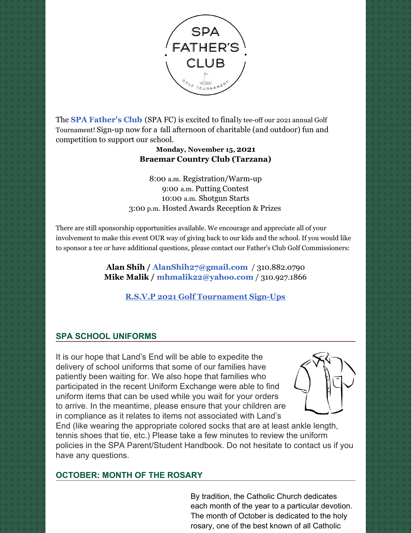

The **SPA [Father's](https://www.spadad.org/) Club** (SPA FC) is excited to finally tee-off our 2021 annual Golf Tournament! Sign-up now for a fall afternoon of charitable (and outdoor) fun and competition to support our school.

#### **Monday, November 15, 2021 Braemar Country Club (Tarzana)**

8:00 a.m. Registration/Warm-up 9:00 a.m. Putting Contest 10:00 a.m. Shotgun Starts 3:00 p.m. Hosted Awards Reception & Prizes

There are still sponsorship opportunities available. We encourage and appreciate all of your involvement to make this event OUR way of giving back to our kids and the school. If you would like to sponsor a tee or have additional questions, please contact our Father's Club Golf Commissioners:

> **Alan Shih / [AlanShih27@gmail.com](mailto:AlanShih27@gmail.com)** / 310.882.0790 **Mike Malik / [mhmalik22@yahoo.com](mailto:mhmalik22@yahoo.com)** / 310.927.1866

**R.S.V.P 2021 Golf [Tournament](https://r20.rs6.net/tn.jsp?f=001M1AGpkBu-9iqvx1s2fs--CQy64vYLrB-3epjAP0fsp0O4O2rs5O9vlCZigk-CHAllmdPWe8jwRMa-MROUAjnpdqOPUxGnfIeKUoFJSnO4ED0wFLb6Vq_0zOH3n0wrB4srCW6B2ddt1n87BaWjTs6JL3KEcpPqVHrgA44krAAd16_NnLSvvadd_d1We2t7RVn17WMKY5UtKmmKIxk5MCkMw==&c=yvB6cQ4Qh7BMJuZ_tXM778lw_fKzn_Ai-aoDp21REAoyTX4rTfCmww==&ch=gcAYQ67QZ-BIVFNhxOZswbT5zlbd3umjVxJqXd4DqoefFRMIVAXVCw==) Sign-Ups**

# **SPA SCHOOL UNIFORMS**

It is our hope that Land's End will be able to expedite the delivery of school uniforms that some of our families have patiently been waiting for. We also hope that families who participated in the recent Uniform Exchange were able to find uniform items that can be used while you wait for your orders to arrive. In the meantime, please ensure that your children are in compliance as it relates to items not associated with Land's



End (like wearing the appropriate colored socks that are at least ankle length, tennis shoes that tie, etc.) Please take a few minutes to review the uniform policies in the SPA Parent/Student Handbook. Do not hesitate to contact us if you have any questions.

# **OCTOBER: MONTH OF THE ROSARY**

By tradition, the Catholic Church dedicates each month of the year to a particular devotion. The month of October is dedicated to the holy rosary, one of the best known of all Catholic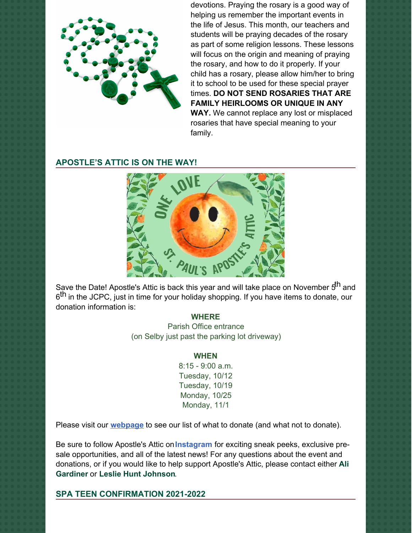

devotions. Praying the rosary is a good way of helping us remember the important events in the life of Jesus. This month, our teachers and students will be praying decades of the rosary as part of some religion lessons. These lessons will focus on the origin and meaning of praying the rosary, and how to do it properly. If your child has a rosary, please allow him/her to bring it to school to be used for these special prayer times. **DO NOT SEND ROSARIES THAT ARE FAMILY HEIRLOOMS OR UNIQUE IN ANY WAY.** We cannot replace any lost or misplaced rosaries that have special meaning to your family.

#### **APOSTLE'S ATTIC IS ON THE WAY!**



Save the Date! Apostle's Attic is back this year and will take place on November 5<sup>th</sup> and 6<sup>th</sup> in the JCPC, just in time for your holiday shopping. If you have items to donate, our donation information is:

#### **WHERE**

Parish Office entrance (on Selby just past the parking lot driveway)

#### **WHEN**

8:15 - 9:00 a.m. Tuesday, 10/12 Tuesday, 10/19 Monday, 10/25 Monday, 11/1

Please visit our **[webpage](https://stpaul.onlineauction.biz/static.php?menu_id=1475&rand=205469406)** to see our list of what to donate (and what not to donate).

Be sure to follow Apostle's Attic on**[Instagram](https://www.instagram.com/apostlesattic/)** for exciting sneak peeks, exclusive presale opportunities, and all of the latest news! For any questions about the event and [donations,](mailto:ali_mira_gardiner@yahoo.com) or if you would like to help support Apostle's Attic, please contact either **Ali Gardiner** or **Leslie Hunt [Johnson](mailto:lesliehuntjohnson@gmail.com)**.

**SPA TEEN CONFIRMATION 2021-2022**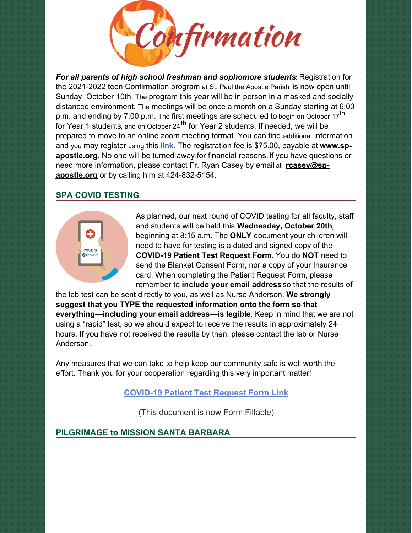

*For all parents of high school freshman and sophomore students:* Registration for the 2021-2022 teen Confirmation program at St. Paul the Apostle Parish is now open until Sunday, October 10th. The program this year will be in person in a masked and socially distanced environment. The meetings will be once a month on a Sunday starting at 6:00 p.m. and ending by 7:00 p.m. The first meetings are scheduled to begin on October 17<sup>th</sup> for Year 1 students, and on October 24<sup>th</sup> for Year 2 students. If needed, we will be prepared to move to an online zoom meeting format. You can find additional information and you may register using this **[link.](https://r20.rs6.net/tn.jsp?f=001q1K4OivRMDuiHEC__9q1xXWuefo8GHUgYwXPywTKGoU3yJ1g2hW--ampaQ5U37hj6tMxdDWkmGf-0P_7Yn_O2GIyj5mtBbHQA1kHvCundllFzanudVR8o0ntFJRS95AWjBCr8q5RYE2INmpzXTJ9IOd7csGl5LPB&c=y5TEKeheTuV18Br7xFRnBAe6Pa99eoP6-zeBwjB5_yBoIt270pChOg==&ch=5RyumAtaZlj4gzBsS7FRwQFXErXSwPxnOFKqFtdlK0gl7UodCYmSKQ==)** The registration fee is \$75.00, payable at **www.sp[apostle.org](https://r20.rs6.net/tn.jsp?f=001q1K4OivRMDuiHEC__9q1xXWuefo8GHUgYwXPywTKGoU3yJ1g2hW--TDmW7sjyOf_f_GPg32-Eupyqy1WZa6J0RlI0VT42dL_g1Xm8Ehe-Wy9Uxnu_yE6fgTvZkmZAk5lQ5IxRyJ8i-HJkvsS-ob74ySkX57_zrOtNoPZNuF-FJAciKkKHyGsNUPFwzIdfn64&c=y5TEKeheTuV18Br7xFRnBAe6Pa99eoP6-zeBwjB5_yBoIt270pChOg==&ch=5RyumAtaZlj4gzBsS7FRwQFXErXSwPxnOFKqFtdlK0gl7UodCYmSKQ==)**. No one will be turned away for financial reasons.If you have questions or need more information, please contact Fr. Ryan Casey by email at **rcasey@spapostle.org** or by calling him at [424-832-5154.](mailto:rcasey@sp-apostle.org)

### **SPA COVID TESTING**



As planned, our next round of COVID testing for all faculty, staff and students will be held this **Wednesday, October 20th**, beginning at 8:15 a.m. The **ONLY** document your children will need to have for testing is a dated and signed copy of the **COVID-19 Patient Test Request Form**. You do **NOT** need to send the Blanket Consent Form, nor a copy of your Insurance card. When completing the Patient Request Form, please remember to **include your email address** so that the results of

the lab test can be sent directly to you, as well as Nurse Anderson. **We strongly suggest that you TYPE the requested information onto the form so that everything—including your email address—is legible**. Keep in mind that we are not using a "rapid" test, so we should expect to receive the results in approximately 24 hours. If you have not received the results by then, please contact the lab or Nurse Anderson.

Any measures that we can take to help keep our community safe is well worth the effort. Thank you for your cooperation regarding this very important matter!

# **[COVID-19](https://school.sp-apostle.org/wp-content/uploads/2021/09/PATIENT-REQ-FORM-FILLABLE.pdf) Patient Test Request Form Link**

(This document is now Form Fillable)

# **PILGRIMAGE to MISSION SANTA BARBARA**